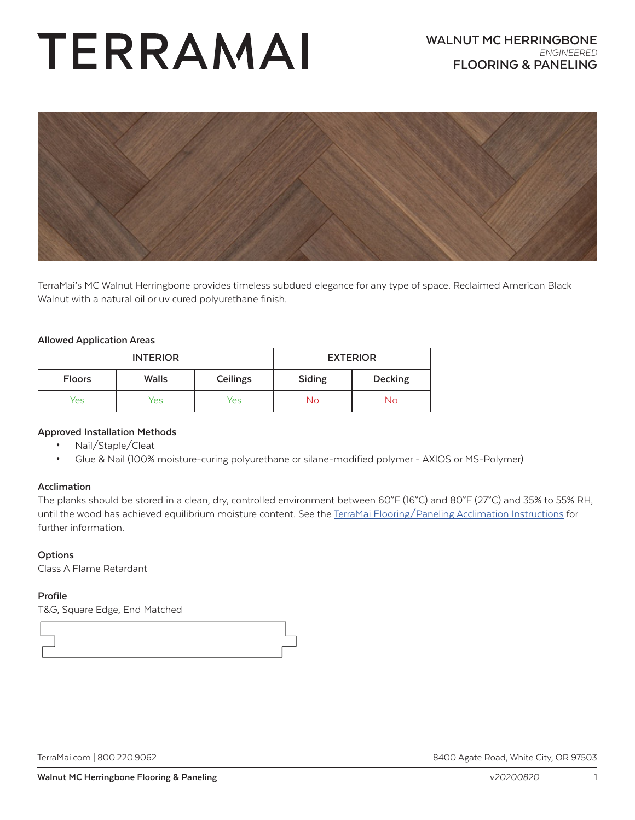# TERRAMAI



TerraMai's MC Walnut Herringbone provides timeless subdued elegance for any type of space. Reclaimed American Black Walnut with a natural oil or uv cured polyurethane finish.

#### **Allowed Application Areas**

| <b>INTERIOR</b> |              | <b>EXTERIOR</b> |        |                |
|-----------------|--------------|-----------------|--------|----------------|
| <b>Floors</b>   | <b>Walls</b> | Ceilings        | Siding | <b>Decking</b> |
| Yes             | Yes          | Yes             | No     | No.            |

#### **Approved Installation Methods**

- Nail/Staple/Cleat
- Glue & Nail (100% moisture-curing polyurethane or silane-modified polymer AXIOS or MS-Polymer)

#### **Acclimation**

The planks should be stored in a clean, dry, controlled environment between 60°F (16°C) and 80°F (27°C) and 35% to 55% RH, until the wood has achieved equilibrium moisture content. See the [TerraMai Flooring/Paneling Acclimation Instructions](https://www.terramai.com/userfiles/pdf/Acclimation%201.5.17.pdf) for further information.

#### **Options**

Class A Flame Retardant

#### **Profile**

T&G, Square Edge, End Matched



[TerraMai.com](http://www.terramai.com) | 800.220.9062 8400 Agate Road, White City, OR 97503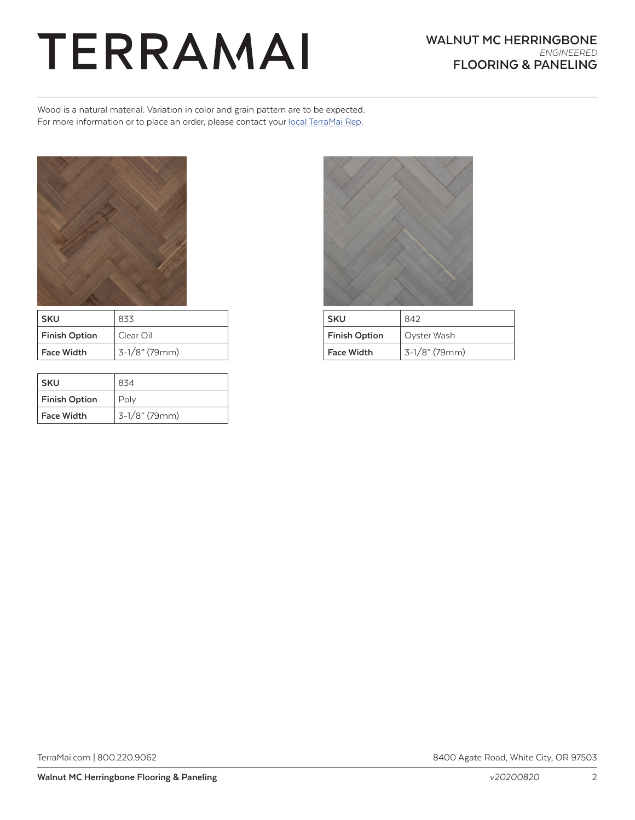### TERRAMAI

Wood is a natural material. Variation in color and grain pattern are to be expected. For more information or to place an order, please contact your [local TerraMai Rep](https://www.terramai.com/team-terramai).



| <b>SKU</b>           | 833           |
|----------------------|---------------|
| <b>Finish Option</b> | Clear Oil     |
| <b>Face Width</b>    | 3-1/8" (79mm) |

| <b>SKU</b>           | 834           |  |
|----------------------|---------------|--|
| <b>Finish Option</b> | Poly          |  |
| <b>Face Width</b>    | 3-1/8" (79mm) |  |



| SKU                  | 842              |
|----------------------|------------------|
| <b>Finish Option</b> | Oyster Wash      |
| <b>Face Width</b>    | $3-1/8$ " (79mm) |

[TerraMai.com](http://www.terramai.com) | 800.220.9062 8400 Agate Road, White City, OR 97503